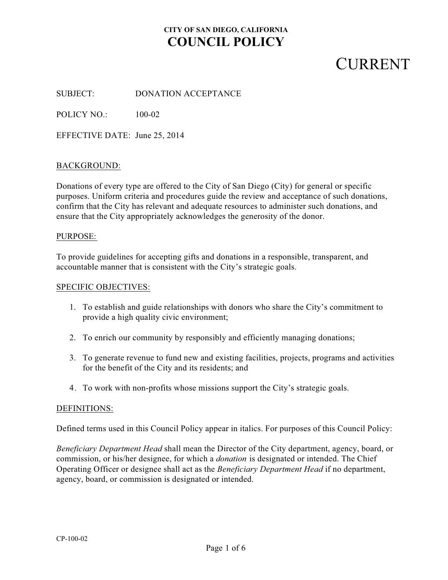# **CURRENT**

SUBJECT: DONATION ACCEPTANCE

POLICY NO.: 100-02

EFFECTIVE DATE: June 25, 2014

#### BACKGROUND:

Donations of every type are offered to the City of San Diego (City) for general or specific purposes. Uniform criteria and procedures guide the review and acceptance of such donations, confirm that the City has relevant and adequate resources to administer such donations, and ensure that the City appropriately acknowledges the generosity of the donor.

#### PURPOSE:

To provide guidelines for accepting gifts and donations in a responsible, transparent, and accountable manner that is consistent with the City's strategic goals.

#### SPECIFIC OBJECTIVES:

- 1. To establish and guide relationships with donors who share the City's commitment to provide a high quality civic environment;
- 2. To enrich our community by responsibly and efficiently managing donations;
- 3. To generate revenue to fund new and existing facilities, projects, programs and activities for the benefit of the City and its residents; and
- 4. To work with non-profits whose missions support the City's strategic goals.

### DEFINITIONS:

Defined terms used in this Council Policy appear in italics. For purposes of this Council Policy:

*Beneficiary Department Head* shall mean the Director of the City department, agency, board, or commission, or his/her designee, for which a *donation* is designated or intended. The Chief Operating Officer or designee shall act as the *Beneficiary Department Head* if no department, agency, board, or commission is designated or intended.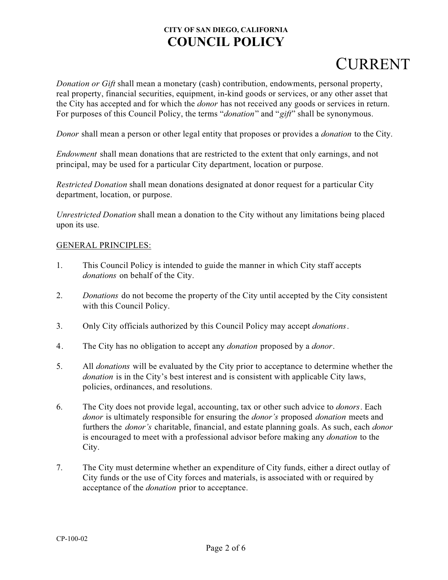# CURRENT

*Donation or Gift* shall mean a monetary (cash) contribution, endowments, personal property, real property, financial securities, equipment, in-kind goods or services, or any other asset that the City has accepted and for which the *donor* has not received any goods or services in return. For purposes of this Council Policy, the terms "*donation*" and "*gift*" shall be synonymous.

*Donor* shall mean a person or other legal entity that proposes or provides a *donation* to the City.

*Endowment* shall mean donations that are restricted to the extent that only earnings, and not principal, may be used for a particular City department, location or purpose.

*Restricted Donation* shall mean donations designated at donor request for a particular City department, location, or purpose.

*Unrestricted Donation* shall mean a donation to the City without any limitations being placed upon its use.

### GENERAL PRINCIPLES:

- 1. This Council Policy is intended to guide the manner in which City staff accepts *donations* on behalf of the City.
- 2. *Donations* do not become the property of the City until accepted by the City consistent with this Council Policy.
- 3. Only City officials authorized by this Council Policy may accept *donations*.
- 4. The City has no obligation to accept any *donation* proposed by a *donor*.
- 5. All *donations* will be evaluated by the City prior to acceptance to determine whether the *donation* is in the City's best interest and is consistent with applicable City laws, policies, ordinances, and resolutions.
- 6. The City does not provide legal, accounting, tax or other such advice to *donors*. Each *donor* is ultimately responsible for ensuring the *donor's* proposed *donation* meets and furthers the *donor's* charitable, financial, and estate planning goals. As such, each *donor* is encouraged to meet with a professional advisor before making any *donation* to the City.
- 7. The City must determine whether an expenditure of City funds, either a direct outlay of City funds or the use of City forces and materials, is associated with or required by acceptance of the *donation* prior to acceptance.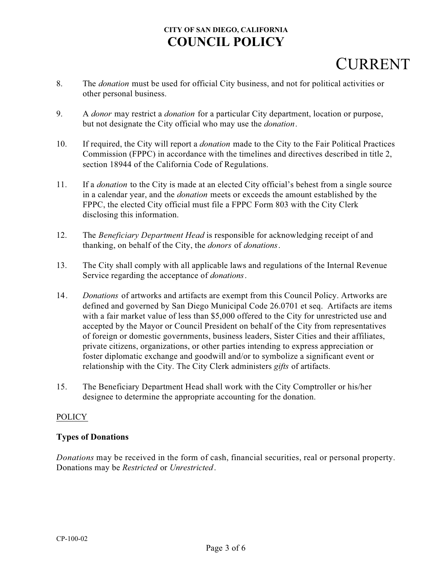# **CURRENT**

- 8. The *donation* must be used for official City business, and not for political activities or other personal business.
- 9. A *donor* may restrict a *donation* for a particular City department, location or purpose, but not designate the City official who may use the *donation*.
- 10. If required, the City will report a *donation* made to the City to the Fair Political Practices Commission (FPPC) in accordance with the timelines and directives described in title 2, section 18944 of the California Code of Regulations.
- 11. If a *donation* to the City is made at an elected City official's behest from a single source in a calendar year, and the *donation* meets or exceeds the amount established by the FPPC, the elected City official must file a FPPC Form 803 with the City Clerk disclosing this information.
- 12. The *Beneficiary Department Head* is responsible for acknowledging receipt of and thanking, on behalf of the City, the *donors* of *donations*.
- 13. The City shall comply with all applicable laws and regulations of the Internal Revenue Service regarding the acceptance of *donations*.
- 14. *Donations* of artworks and artifacts are exempt from this Council Policy. Artworks are defined and governed by San Diego Municipal Code 26.0701 et seq. Artifacts are items with a fair market value of less than \$5,000 offered to the City for unrestricted use and accepted by the Mayor or Council President on behalf of the City from representatives of foreign or domestic governments, business leaders, Sister Cities and their affiliates, private citizens, organizations, or other parties intending to express appreciation or foster diplomatic exchange and goodwill and/or to symbolize a significant event or relationship with the City. The City Clerk administers *gifts* of artifacts.
- 15. The Beneficiary Department Head shall work with the City Comptroller or his/her designee to determine the appropriate accounting for the donation.

## POLICY

## **Types of Donations**

*Donations* may be received in the form of cash, financial securities, real or personal property. Donations may be *Restricted* or *Unrestricted*.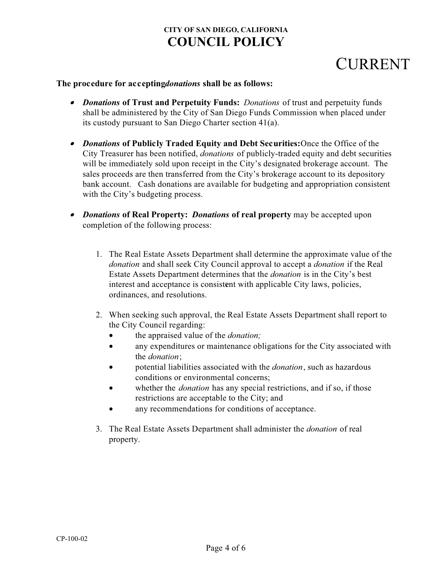# **CURRENT**

### **The procedure for accepting** *donations* shall be as follows:

- *· Donations* **of Trust and Perpetuity Funds:** *Donations* of trust and perpetuity funds shall be administered by the City of San Diego Funds Commission when placed under its custody pursuant to San Diego Charter section 41(a).
- *· Donations* **of Publicly Traded Equity and Debt Securities:** Once the Office of the City Treasurer has been notified, *donations* of publicly-traded equity and debt securities will be immediately sold upon receipt in the City's designated brokerage account. The sales proceeds are then transferred from the City's brokerage account to its depository bank account. Cash donations are available for budgeting and appropriation consistent with the City's budgeting process.
- *· Donations* **of Real Property:** *Donations* **of real property** may be accepted upon completion of the following process:
	- 1. The Real Estate Assets Department shall determine the approximate value of the *donation* and shall seek City Council approval to accept a *donation* if the Real Estate Assets Department determines that the *donation* is in the City's best interest and acceptance is consist**e**nt with applicable City laws, policies, ordinances, and resolutions.
	- 2. When seeking such approval, the Real Estate Assets Department shall report to the City Council regarding:
		- · the appraised value of the *donation;*
		- · any expenditures or maintenance obligations for the City associated with the *donation*;
		- · potential liabilities associated with the *donation*, such as hazardous conditions or environmental concerns;
		- whether the *donation* has any special restrictions, and if so, if those restrictions are acceptable to the City; and
		- any recommendations for conditions of acceptance.
	- 3. The Real Estate Assets Department shall administer the *donation* of real property.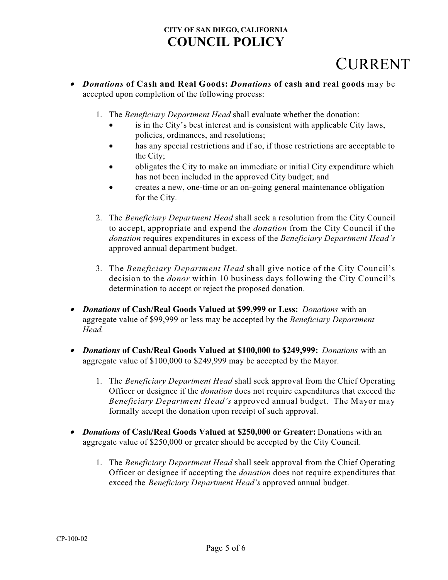# CURRENT

- *· Donations* **of Cash and Real Goods:** *Donations* **of cash and real goods** may be accepted upon completion of the following process:
	- 1. The *Beneficiary Department Head* shall evaluate whether the donation:
		- · is in the City's best interest and is consistent with applicable City laws, policies, ordinances, and resolutions;
		- has any special restrictions and if so, if those restrictions are acceptable to the City;
		- obligates the City to make an immediate or initial City expenditure which has not been included in the approved City budget; and
		- · creates a new, one-time or an on-going general maintenance obligation for the City.
	- 2. The *Beneficiary Department Head* shall seek a resolution from the City Council to accept, appropriate and expend the *donation* from the City Council if the *donation* requires expenditures in excess of the *Beneficiary Department Head's* approved annual department budget.
	- 3. The *Beneficiary Department Head* shall give notice of the City Council's decision to the *donor* within 10 business days following the City Council's determination to accept or reject the proposed donation.
- *· Donations* **of Cash/Real Goods Valued at \$99,999 or Less:** *Donations* with an aggregate value of \$99,999 or less may be accepted by the *Beneficiary Department Head.*
- *· Donations* **of Cash/Real Goods Valued at \$100,000 to \$249,999:** *Donations* with an aggregate value of \$100,000 to \$249,999 may be accepted by the Mayor.
	- 1. The *Beneficiary Department Head* shall seek approval from the Chief Operating Officer or designee if the *donation* does not require expenditures that exceed the *Beneficiary Department Head's* approved annual budget. The Mayor may formally accept the donation upon receipt of such approval.
- *· Donations* **of Cash/Real Goods Valued at \$250,000 or Greater:** Donations with an aggregate value of \$250,000 or greater should be accepted by the City Council.
	- 1. The *Beneficiary Department Head* shall seek approval from the Chief Operating Officer or designee if accepting the *donation* does not require expenditures that exceed the *Beneficiary Department Head's* approved annual budget.